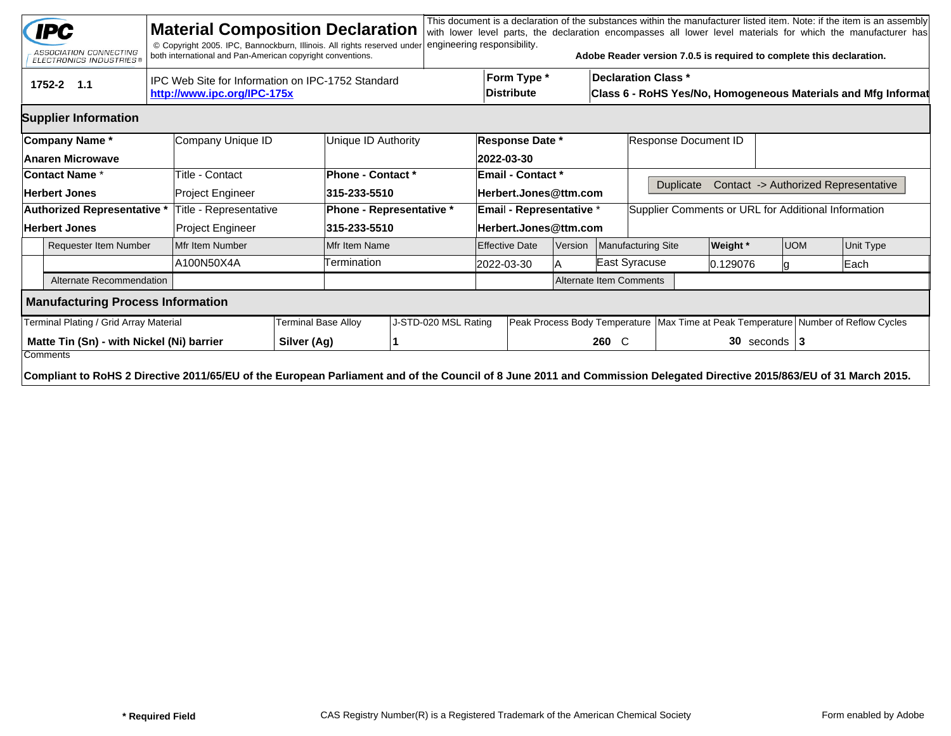|                                                       | <b>IPC</b><br>ASSOCIATION CONNECTING<br><b>ELECTRONICS INDUSTRIES®</b>                                                                                                 |  | <b>Material Composition Declaration</b><br>© Copyright 2005. IPC, Bannockburn, Illinois. All rights reserved under<br>both international and Pan-American copyright conventions. |  |                      | engineering responsibility. |  |                                                                                                                                 |  |               | Adobe Reader version 7.0.5 is required to complete this declaration.                   |          |            |  | This document is a declaration of the substances within the manufacturer listed item. Note: if the item is an assembly<br>with lower level parts, the declaration encompasses all lower level materials for which the manufacturer has |  |  |  |
|-------------------------------------------------------|------------------------------------------------------------------------------------------------------------------------------------------------------------------------|--|----------------------------------------------------------------------------------------------------------------------------------------------------------------------------------|--|----------------------|-----------------------------|--|---------------------------------------------------------------------------------------------------------------------------------|--|---------------|----------------------------------------------------------------------------------------|----------|------------|--|----------------------------------------------------------------------------------------------------------------------------------------------------------------------------------------------------------------------------------------|--|--|--|
|                                                       | 1752-2 1.1                                                                                                                                                             |  | IPC Web Site for Information on IPC-1752 Standard<br>http://www.ipc.org/IPC-175x                                                                                                 |  |                      |                             |  | Form Type *<br><b>Declaration Class *</b><br><b>Distribute</b><br>Class 6 - RoHS Yes/No, Homogeneous Materials and Mfg Informat |  |               |                                                                                        |          |            |  |                                                                                                                                                                                                                                        |  |  |  |
|                                                       | <b>Supplier Information</b>                                                                                                                                            |  |                                                                                                                                                                                  |  |                      |                             |  |                                                                                                                                 |  |               |                                                                                        |          |            |  |                                                                                                                                                                                                                                        |  |  |  |
|                                                       | Company Name*                                                                                                                                                          |  | Company Unique ID                                                                                                                                                                |  | Unique ID Authority  |                             |  | <b>Response Date *</b>                                                                                                          |  |               | Response Document ID                                                                   |          |            |  |                                                                                                                                                                                                                                        |  |  |  |
|                                                       | Anaren Microwave                                                                                                                                                       |  |                                                                                                                                                                                  |  |                      |                             |  | 2022-03-30                                                                                                                      |  |               |                                                                                        |          |            |  |                                                                                                                                                                                                                                        |  |  |  |
| <b>Contact Name *</b><br>Title - Contact              |                                                                                                                                                                        |  |                                                                                                                                                                                  |  | Phone - Contact *    |                             |  | <b>Email - Contact *</b>                                                                                                        |  |               |                                                                                        |          |            |  |                                                                                                                                                                                                                                        |  |  |  |
|                                                       | <b>Herbert Jones</b>                                                                                                                                                   |  | Project Engineer                                                                                                                                                                 |  | 315-233-5510         |                             |  | Herbert.Jones@ttm.com                                                                                                           |  |               | Duplicate                                                                              |          |            |  | Contact -> Authorized Representative                                                                                                                                                                                                   |  |  |  |
|                                                       | Authorized Representative *                                                                                                                                            |  | Title - Representative                                                                                                                                                           |  |                      | Phone - Representative *    |  | Email - Representative *                                                                                                        |  |               | Supplier Comments or URL for Additional Information                                    |          |            |  |                                                                                                                                                                                                                                        |  |  |  |
| <b>Herbert Jones</b>                                  |                                                                                                                                                                        |  | Project Engineer                                                                                                                                                                 |  | 315-233-5510         |                             |  | Herbert.Jones@ttm.com                                                                                                           |  |               |                                                                                        |          |            |  |                                                                                                                                                                                                                                        |  |  |  |
|                                                       | <b>Requester Item Number</b>                                                                                                                                           |  | Mfr Item Number                                                                                                                                                                  |  | Mfr Item Name        |                             |  | <b>Effective Date</b><br>Version                                                                                                |  |               | Manufacturing Site                                                                     | Weight * | <b>UOM</b> |  | <b>Unit Type</b>                                                                                                                                                                                                                       |  |  |  |
|                                                       |                                                                                                                                                                        |  | A100N50X4A                                                                                                                                                                       |  | Termination          |                             |  | 2022-03-30                                                                                                                      |  | East Syracuse |                                                                                        | 0.129076 |            |  | Each                                                                                                                                                                                                                                   |  |  |  |
| Alternate Recommendation                              |                                                                                                                                                                        |  |                                                                                                                                                                                  |  |                      |                             |  |                                                                                                                                 |  |               | Alternate Item Comments                                                                |          |            |  |                                                                                                                                                                                                                                        |  |  |  |
|                                                       | <b>Manufacturing Process Information</b>                                                                                                                               |  |                                                                                                                                                                                  |  |                      |                             |  |                                                                                                                                 |  |               |                                                                                        |          |            |  |                                                                                                                                                                                                                                        |  |  |  |
| Terminal Plating / Grid Array Material                |                                                                                                                                                                        |  | Terminal Base Alloy                                                                                                                                                              |  | J-STD-020 MSL Rating |                             |  |                                                                                                                                 |  |               | Peak Process Body Temperature   Max Time at Peak Temperature   Number of Reflow Cycles |          |            |  |                                                                                                                                                                                                                                        |  |  |  |
| Matte Tin (Sn) - with Nickel (Ni) barrier<br>Comments |                                                                                                                                                                        |  |                                                                                                                                                                                  |  | Silver (Ag)          |                             |  |                                                                                                                                 |  | 260 C         | $30$ seconds $3$                                                                       |          |            |  |                                                                                                                                                                                                                                        |  |  |  |
|                                                       | Compliant to RoHS 2 Directive 2011/65/EU of the European Parliament and of the Council of 8 June 2011 and Commission Delegated Directive 2015/863/EU of 31 March 2015. |  |                                                                                                                                                                                  |  |                      |                             |  |                                                                                                                                 |  |               |                                                                                        |          |            |  |                                                                                                                                                                                                                                        |  |  |  |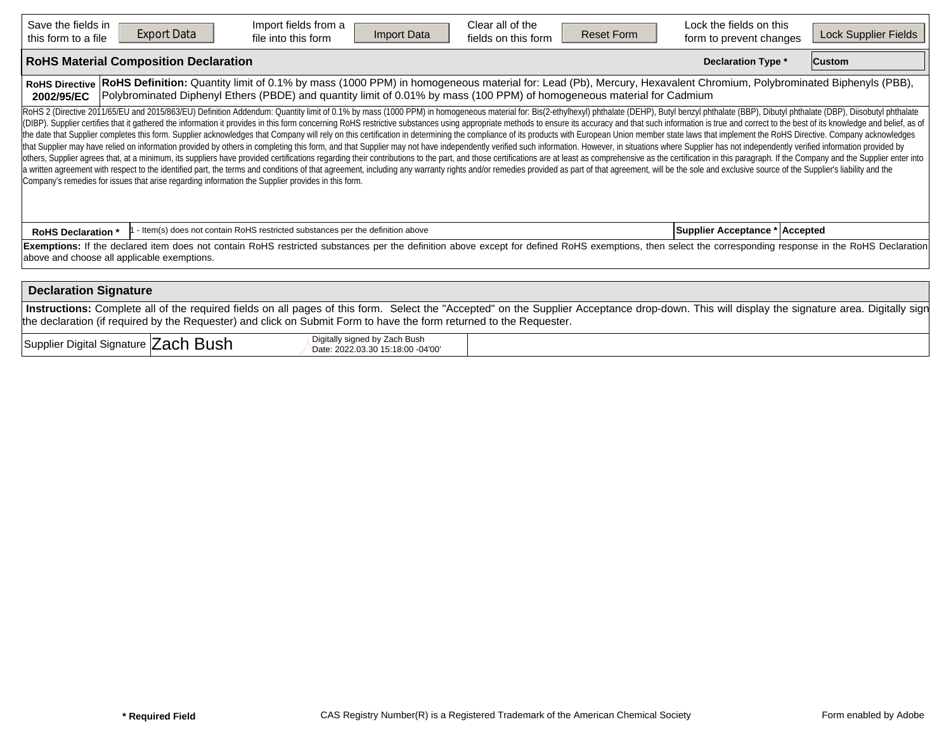| Save the fields in<br>this form to a file                                                                                                                                                                                                                                                                                          | <b>Export Data</b>                           | Import fields from a<br>file into this form                                                                                                                                                                                                                                                                                                                                                                                                                                                                                                                            | <b>Import Data</b>                                                 | Clear all of the<br>fields on this form | <b>Reset Form</b> | Lock the fields on this<br>form to prevent changes | Lock Supplier Fields                                                                                                                                                                                                                                                                                                                                                                                                                                                                                                                                                                                                                                                                                                                                                                                                                                                                                                               |  |  |  |  |  |  |
|------------------------------------------------------------------------------------------------------------------------------------------------------------------------------------------------------------------------------------------------------------------------------------------------------------------------------------|----------------------------------------------|------------------------------------------------------------------------------------------------------------------------------------------------------------------------------------------------------------------------------------------------------------------------------------------------------------------------------------------------------------------------------------------------------------------------------------------------------------------------------------------------------------------------------------------------------------------------|--------------------------------------------------------------------|-----------------------------------------|-------------------|----------------------------------------------------|------------------------------------------------------------------------------------------------------------------------------------------------------------------------------------------------------------------------------------------------------------------------------------------------------------------------------------------------------------------------------------------------------------------------------------------------------------------------------------------------------------------------------------------------------------------------------------------------------------------------------------------------------------------------------------------------------------------------------------------------------------------------------------------------------------------------------------------------------------------------------------------------------------------------------------|--|--|--|--|--|--|
|                                                                                                                                                                                                                                                                                                                                    | <b>RoHS Material Composition Declaration</b> |                                                                                                                                                                                                                                                                                                                                                                                                                                                                                                                                                                        |                                                                    |                                         |                   | <b>Declaration Type *</b>                          | <b>Custom</b>                                                                                                                                                                                                                                                                                                                                                                                                                                                                                                                                                                                                                                                                                                                                                                                                                                                                                                                      |  |  |  |  |  |  |
| RoHS Definition: Quantity limit of 0.1% by mass (1000 PPM) in homogeneous material for: Lead (Pb), Mercury, Hexavalent Chromium, Polybrominated Biphenyls (PBB),<br><b>RoHS Directive</b><br>Polybrominated Diphenyl Ethers (PBDE) and quantity limit of 0.01% by mass (100 PPM) of homogeneous material for Cadmium<br>2002/95/EC |                                              |                                                                                                                                                                                                                                                                                                                                                                                                                                                                                                                                                                        |                                                                    |                                         |                   |                                                    |                                                                                                                                                                                                                                                                                                                                                                                                                                                                                                                                                                                                                                                                                                                                                                                                                                                                                                                                    |  |  |  |  |  |  |
|                                                                                                                                                                                                                                                                                                                                    |                                              | that Supplier may have relied on information provided by others in completing this form, and that Supplier may not have independently verified such information. However, in situations where Supplier has not independently v<br>a written agreement with respect to the identified part, the terms and conditions of that agreement, including any warranty rights and/or remedies provided as part of that agreement, will be the sole and exclusive source o<br>Company's remedies for issues that arise regarding information the Supplier provides in this form. |                                                                    |                                         |                   |                                                    | RoHS 2 (Directive 2011/65/EU and 2015/863/EU) Definition Addendum: Quantity limit of 0.1% by mass (1000 PPM) in homogeneous material for: Bis(2-ethylhexyl) phthalate (DEHP), Butyl benzyl phthalate (BBP), Dibutyl phthalate<br>(DIBP). Supplier certifies that it gathered the information it provides in this form concerning RoHS restrictive substances using appropriate methods to ensure its accuracy and that such information is true and correct to<br>the date that Supplier completes this form. Supplier acknowledges that Company will rely on this certification in determining the compliance of its products with European Union member state laws that implement the RoHS Dir<br>others, Supplier agrees that, at a minimum, its suppliers have provided certifications regarding their contributions to the part, and those certifications are at least as comprehensive as the certification in this paragrap |  |  |  |  |  |  |
| <b>RoHS Declaration *</b>                                                                                                                                                                                                                                                                                                          |                                              | - Item(s) does not contain RoHS restricted substances per the definition above                                                                                                                                                                                                                                                                                                                                                                                                                                                                                         |                                                                    |                                         |                   | Supplier Acceptance * Accepted                     |                                                                                                                                                                                                                                                                                                                                                                                                                                                                                                                                                                                                                                                                                                                                                                                                                                                                                                                                    |  |  |  |  |  |  |
| above and choose all applicable exemptions.                                                                                                                                                                                                                                                                                        |                                              |                                                                                                                                                                                                                                                                                                                                                                                                                                                                                                                                                                        |                                                                    |                                         |                   |                                                    | <b>Exemptions:</b> If the declared item does not contain RoHS restricted substances per the definition above except for defined RoHS exemptions, then select the corresponding response in the RoHS Declaration                                                                                                                                                                                                                                                                                                                                                                                                                                                                                                                                                                                                                                                                                                                    |  |  |  |  |  |  |
| <b>Declaration Signature</b>                                                                                                                                                                                                                                                                                                       |                                              |                                                                                                                                                                                                                                                                                                                                                                                                                                                                                                                                                                        |                                                                    |                                         |                   |                                                    |                                                                                                                                                                                                                                                                                                                                                                                                                                                                                                                                                                                                                                                                                                                                                                                                                                                                                                                                    |  |  |  |  |  |  |
|                                                                                                                                                                                                                                                                                                                                    |                                              | the declaration (if required by the Requester) and click on Submit Form to have the form returned to the Requester.                                                                                                                                                                                                                                                                                                                                                                                                                                                    |                                                                    |                                         |                   |                                                    | Instructions: Complete all of the required fields on all pages of this form. Select the "Accepted" on the Supplier Acceptance drop-down. This will display the signature area. Digitally sign                                                                                                                                                                                                                                                                                                                                                                                                                                                                                                                                                                                                                                                                                                                                      |  |  |  |  |  |  |
|                                                                                                                                                                                                                                                                                                                                    | Supplier Digital Signature Zach Bush         |                                                                                                                                                                                                                                                                                                                                                                                                                                                                                                                                                                        | Digitally signed by Zach Bush<br>Date: 2022.03.30 15:18:00 -04'00' |                                         |                   |                                                    |                                                                                                                                                                                                                                                                                                                                                                                                                                                                                                                                                                                                                                                                                                                                                                                                                                                                                                                                    |  |  |  |  |  |  |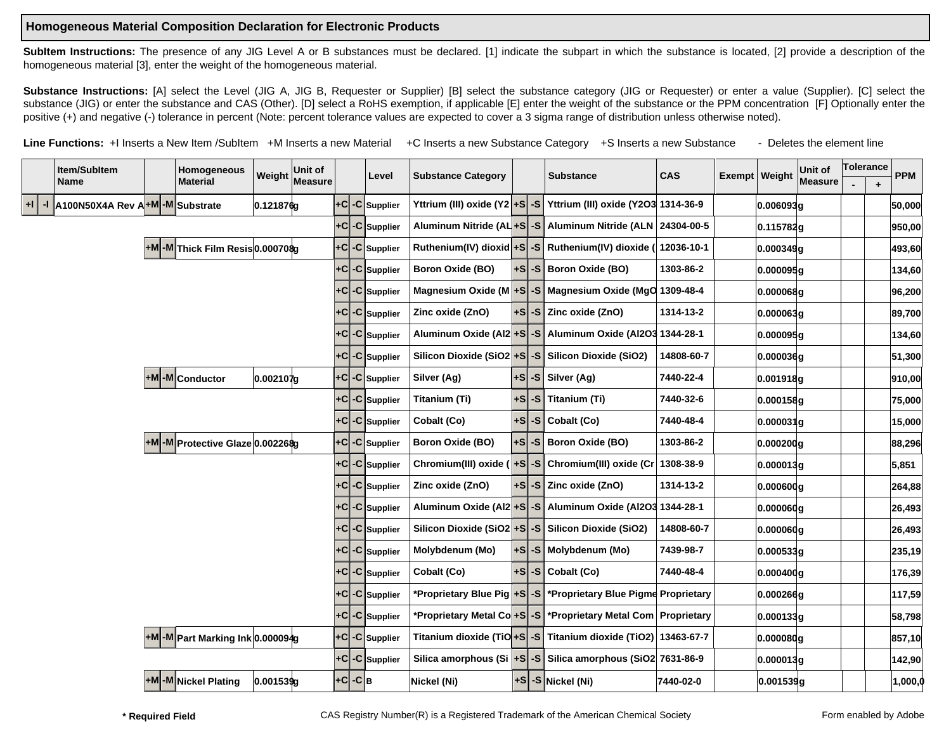## **Homogeneous Material Composition Declaration for Electronic Products**

SubItem Instructions: The presence of any JIG Level A or B substances must be declared. [1] indicate the subpart in which the substance is located, [2] provide a description of the homogeneous material [3], enter the weight of the homogeneous material.

Substance Instructions: [A] select the Level (JIG A, JIG B, Requester or Supplier) [B] select the substance category (JIG or Requester) or enter a value (Supplier). [C] select the substance (JIG) or enter the substance and CAS (Other). [D] select a RoHS exemption, if applicable [E] enter the weight of the substance or the PPM concentration [F] Optionally enter the positive (+) and negative (-) tolerance in percent (Note: percent tolerance values are expected to cover a 3 sigma range of distribution unless otherwise noted).

Line Functions: +I Inserts a New Item /SubItem +M Inserts a new Material +C Inserts a new Substance Category +S Inserts a new Substance - Deletes the element line

| Item/SubItem |    |                                 | Homogeneous                       | Weight Unit of |         |                     |  | Level                     | <b>Substance Category</b>     |  | <b>Substance</b>                                                         | CAS        | Exempt   Weight | Unit of        | <b>Tolerance</b> |         | <b>PPM</b> |
|--------------|----|---------------------------------|-----------------------------------|----------------|---------|---------------------|--|---------------------------|-------------------------------|--|--------------------------------------------------------------------------|------------|-----------------|----------------|------------------|---------|------------|
|              |    | Name                            | <b>Material</b>                   |                | Measure |                     |  |                           |                               |  |                                                                          |            |                 | <b>Measure</b> |                  | $\ddag$ |            |
|              | -1 | A100N50X4A Rev A+M -M Substrate |                                   | 0.121876g      |         |                     |  | +C -C Supplier            | Yttrium (III) oxide (Y2 +S -S |  | Yttrium (III) oxide (Y2O3 1314-36-9                                      |            | 0.006093g       |                |                  |         | 50,000     |
|              |    |                                 |                                   |                |         |                     |  | $ +C -C $ Supplier        |                               |  | Aluminum Nitride (AL + S - S   Aluminum Nitride (ALN   24304-00-5        |            | 0.115782g       |                |                  |         | 950,00     |
|              |    |                                 | +M -M Thick Film Resis 0.00070\$g |                |         |                     |  | +C -C Supplier            |                               |  | Ruthenium(IV) dioxid $+ S$ -S Ruthenium(IV) dioxide (12036-10-1          |            | 0.000349g       |                |                  |         | 493,60     |
|              |    |                                 |                                   |                |         |                     |  | +C -C Supplier            | <b>Boron Oxide (BO)</b>       |  | $+S$ -S Boron Oxide (BO)                                                 | 1303-86-2  | $ 0.000095 $ g  |                |                  |         | 134,60     |
|              |    |                                 |                                   |                |         |                     |  | +C -C Supplier            | <b>Magnesium Oxide (M)</b>    |  | +S -S Magnesium Oxide (MgO 1309-48-4                                     |            | 0.000068g       |                |                  |         | 96,200     |
|              |    |                                 |                                   |                |         |                     |  | +C -C Supplier            | Zinc oxide (ZnO)              |  | $+S$ -S Zinc oxide (ZnO)                                                 | 1314-13-2  | $ 0.000063 $ g  |                |                  |         | 89,700     |
|              |    |                                 |                                   |                |         |                     |  | +C -C Supplier            |                               |  | Aluminum Oxide (Al2 +S -S Aluminum Oxide (Al2O3 1344-28-1                |            | $ 0.000095 $ g  |                |                  |         | 134,60     |
|              |    |                                 |                                   |                |         |                     |  | $ +C -C $ Supplier        |                               |  | Silicon Dioxide (SiO2 +S -S Silicon Dioxide (SiO2)                       | 14808-60-7 | 0.000036q       |                |                  |         | 51,300     |
|              |    |                                 | +M-MConductor                     | 0.002107g      |         |                     |  | $ \text{+C} $ -C Supplier | Silver (Ag)                   |  | +S -S Silver (Ag)                                                        | 7440-22-4  | 0.001918g       |                |                  |         | 910,00     |
|              |    |                                 |                                   |                |         |                     |  | +C -C Supplier            | <b>Titanium (Ti)</b>          |  | +S -S Titanium (Ti)                                                      | 7440-32-6  | 0.000158g       |                |                  |         | 75,000     |
|              |    |                                 |                                   |                |         |                     |  | +C -C Supplier            | Cobalt (Co)                   |  | $+S$ -S Cobalt (Co)                                                      | 7440-48-4  | 0.000031 g      |                |                  |         | 15,000     |
|              |    |                                 | +M-M Protective Glaze 0.002268g   |                |         |                     |  | +C -C Supplier            | <b>Boron Oxide (BO)</b>       |  | +S -S Boron Oxide (BO)                                                   | 1303-86-2  | 0.000200 q      |                |                  |         | 88,296     |
|              |    |                                 |                                   |                |         |                     |  | +C -C Supplier            | Chromium(III) oxide (         |  | +S -S Chromium(III) oxide (Cr 1308-38-9                                  |            | 0.000013g       |                |                  |         | 5,851      |
|              |    |                                 |                                   |                |         |                     |  | +C -C Supplier            | Zinc oxide (ZnO)              |  | $+ S \cdot S$ Zinc oxide (ZnO)                                           | 1314-13-2  | 0.000600g       |                |                  |         | 264,88     |
|              |    |                                 |                                   |                |         |                     |  | +C -C Supplier            |                               |  | Aluminum Oxide (Al2 +S -S  Aluminum Oxide (Al2O3 1344-28-1               |            | 0.00006dg       |                |                  |         | 26,493     |
|              |    |                                 |                                   |                |         |                     |  | +C -C Supplier            |                               |  | Silicon Dioxide (SiO2 $+$ S $-$ S Silicon Dioxide (SiO2)                 | 14808-60-7 | 0.000060g       |                |                  |         | 26,493     |
|              |    |                                 |                                   |                |         |                     |  | +C -C Supplier            | Molybdenum (Mo)               |  | +S -S Molybdenum (Mo)                                                    | 7439-98-7  | $ 0.000533 $ g  |                |                  |         | 235,19     |
|              |    |                                 |                                   |                |         | +Cl                 |  | -C Supplier               | Cobalt (Co)                   |  | $+S$ -S Cobalt (Co)                                                      | 7440-48-4  | 0.000400g       |                |                  |         | 176,39     |
|              |    |                                 |                                   |                |         |                     |  | +C -C Supplier            |                               |  | *Proprietary Blue Pig   +S   -S   *Proprietary Blue Pigme Proprietary    |            | 0.000266q       |                |                  |         | 117,59     |
|              |    |                                 |                                   |                |         |                     |  | +C -C Supplier            |                               |  | *Proprietary Metal Co +S -S  *Proprietary Metal Com   Proprietary        |            | 0.000133g       |                |                  |         | 58,798     |
|              |    |                                 | +M -M Part Marking Ink 0.000094g  |                |         |                     |  | $ +C -C $ Supplier        |                               |  | Titanium dioxide (TiO + S $\vert$ - S Titanium dioxide (TiO2) 13463-67-7 |            | 0.000080q       |                |                  |         | 857,10     |
|              |    |                                 |                                   |                |         |                     |  | +C -C Supplier            |                               |  | Silica amorphous (Si $ +S $ -S Silica amorphous (SiO2 7631-86-9          |            | 0.000013g       |                |                  |         | 142,90     |
|              |    |                                 | +M-M Nickel Plating               | 0.001539g      |         | $ $ +C $ $ -C $ $ B |  |                           | Nickel (Ni)                   |  | $+S$ -S Nickel (Ni)                                                      | 7440-02-0  | 0.001539g       |                |                  |         | 1,000,0    |